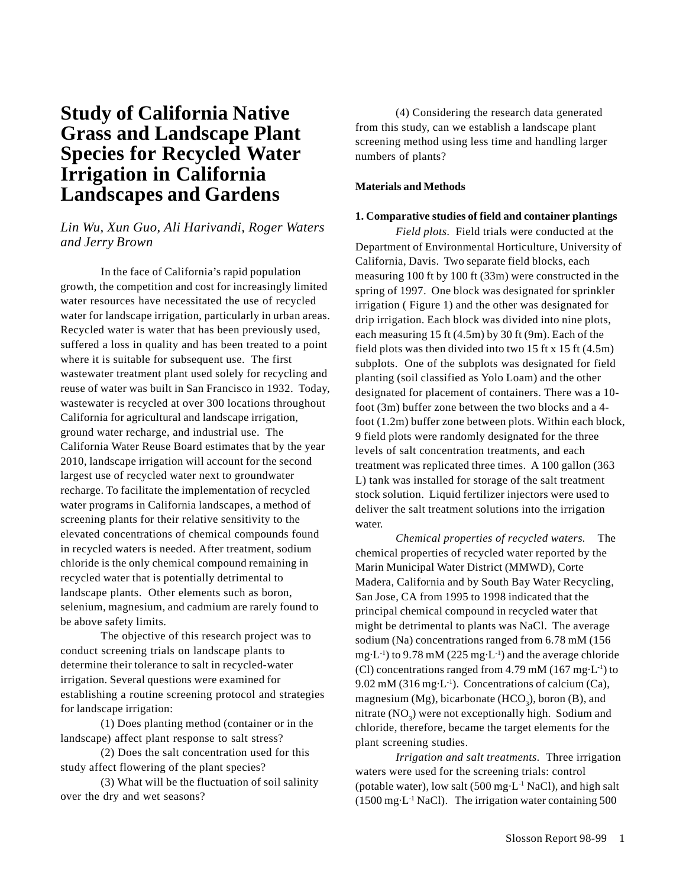# **Study of California Native Grass and Landscape Plant Species for Recycled Water Irrigation in California Landscapes and Gardens**

# *Lin Wu, Xun Guo, Ali Harivandi, Roger Waters and Jerry Brown*

In the face of California's rapid population growth, the competition and cost for increasingly limited water resources have necessitated the use of recycled water for landscape irrigation, particularly in urban areas. Recycled water is water that has been previously used, suffered a loss in quality and has been treated to a point where it is suitable for subsequent use. The first wastewater treatment plant used solely for recycling and reuse of water was built in San Francisco in 1932. Today, wastewater is recycled at over 300 locations throughout California for agricultural and landscape irrigation, ground water recharge, and industrial use. The California Water Reuse Board estimates that by the year 2010, landscape irrigation will account for the second largest use of recycled water next to groundwater recharge. To facilitate the implementation of recycled water programs in California landscapes, a method of screening plants for their relative sensitivity to the elevated concentrations of chemical compounds found in recycled waters is needed. After treatment, sodium chloride is the only chemical compound remaining in recycled water that is potentially detrimental to landscape plants. Other elements such as boron, selenium, magnesium, and cadmium are rarely found to be above safety limits.

The objective of this research project was to conduct screening trials on landscape plants to determine their tolerance to salt in recycled-water irrigation. Several questions were examined for establishing a routine screening protocol and strategies for landscape irrigation:

(1) Does planting method (container or in the landscape) affect plant response to salt stress?

(2) Does the salt concentration used for this study affect flowering of the plant species?

(3) What will be the fluctuation of soil salinity over the dry and wet seasons?

(4) Considering the research data generated from this study, can we establish a landscape plant screening method using less time and handling larger numbers of plants?

# **Materials and Methods**

## **1. Comparative studies of field and container plantings**

*Field plots.* Field trials were conducted at the Department of Environmental Horticulture, University of California, Davis. Two separate field blocks, each measuring 100 ft by 100 ft (33m) were constructed in the spring of 1997. One block was designated for sprinkler irrigation ( Figure 1) and the other was designated for drip irrigation. Each block was divided into nine plots, each measuring 15 ft (4.5m) by 30 ft (9m). Each of the field plots was then divided into two 15 ft x 15 ft (4.5m) subplots. One of the subplots was designated for field planting (soil classified as Yolo Loam) and the other designated for placement of containers. There was a 10 foot (3m) buffer zone between the two blocks and a 4 foot (1.2m) buffer zone between plots. Within each block, 9 field plots were randomly designated for the three levels of salt concentration treatments, and each treatment was replicated three times. A 100 gallon (363 L) tank was installed for storage of the salt treatment stock solution. Liquid fertilizer injectors were used to deliver the salt treatment solutions into the irrigation water.

*Chemical properties of recycled waters.* The chemical properties of recycled water reported by the Marin Municipal Water District (MMWD), Corte Madera, California and by South Bay Water Recycling, San Jose, CA from 1995 to 1998 indicated that the principal chemical compound in recycled water that might be detrimental to plants was NaCl. The average sodium (Na) concentrations ranged from 6.78 mM (156 mg $\cdot$ L<sup>-1</sup>) to 9.78 mM (225 mg $\cdot$ L<sup>-1</sup>) and the average chloride (Cl) concentrations ranged from 4.79 mM (167 mg $\cdot$ L<sup>-1</sup>) to 9.02 mM (316 mg $\cdot$ L<sup>-1</sup>). Concentrations of calcium (Ca), magnesium (Mg), bicarbonate  $(HCO<sub>3</sub>)$ , boron (B), and nitrate  $(NO_3)$  were not exceptionally high. Sodium and chloride, therefore, became the target elements for the plant screening studies.

*Irrigation and salt treatments.* Three irrigation waters were used for the screening trials: control (potable water), low salt  $(500 \text{ mg} \cdot \text{L}^{-1} \text{ NaCl})$ , and high salt (1500 mg·L-1 NaCl). The irrigation water containing 500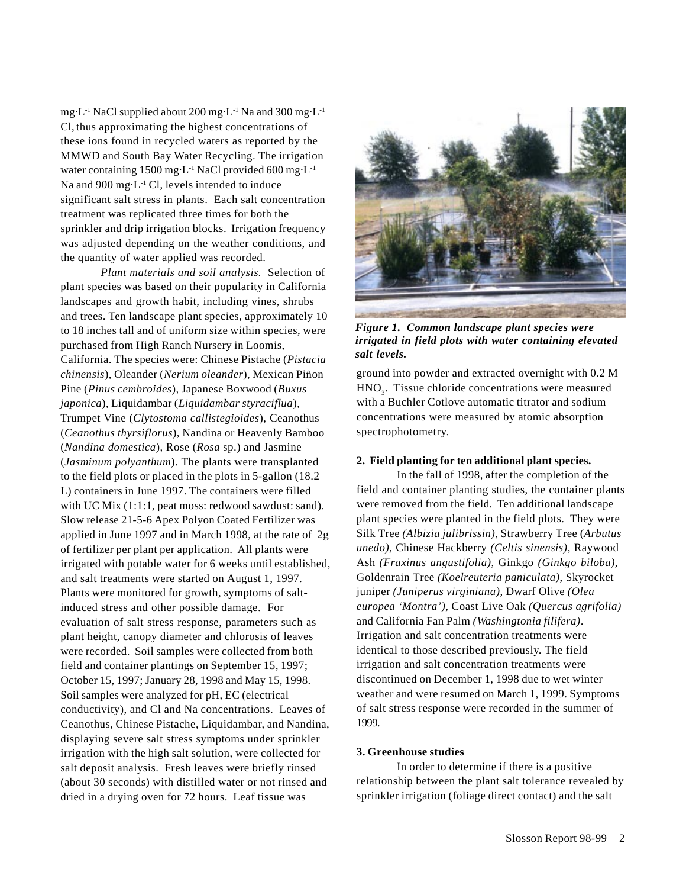mg·L-1 NaCl supplied about 200 mg·L-1 Na and 300 mg·L-1 Cl, thus approximating the highest concentrations of these ions found in recycled waters as reported by the MMWD and South Bay Water Recycling. The irrigation water containing 1500 mg·L-1 NaCl provided 600 mg·L-1 Na and 900 mg·L<sup>-1</sup> Cl, levels intended to induce significant salt stress in plants. Each salt concentration treatment was replicated three times for both the sprinkler and drip irrigation blocks. Irrigation frequency was adjusted depending on the weather conditions, and the quantity of water applied was recorded.

*Plant materials and soil analysis.* Selection of plant species was based on their popularity in California landscapes and growth habit, including vines, shrubs and trees. Ten landscape plant species, approximately 10 to 18 inches tall and of uniform size within species, were purchased from High Ranch Nursery in Loomis, California. The species were: Chinese Pistache (*Pistacia*  $chinensis$ ), Oleander (*Nerium oleander*), Mexican Piñon Pine (*Pinus cembroides*), Japanese Boxwood (*Buxus japonica*), Liquidambar (*Liquidambar styraciflua*), Trumpet Vine (*Clytostoma callistegioides*), Ceanothus (*Ceanothus thyrsiflorus*), Nandina or Heavenly Bamboo (*Nandina domestica*), Rose (*Rosa* sp.) and Jasmine (*Jasminum polyanthum*). The plants were transplanted to the field plots or placed in the plots in 5-gallon (18.2 L) containers in June 1997. The containers were filled with UC Mix (1:1:1, peat moss: redwood sawdust: sand). Slow release 21-5-6 Apex Polyon Coated Fertilizer was applied in June 1997 and in March 1998, at the rate of 2g of fertilizer per plant per application. All plants were irrigated with potable water for 6 weeks until established, and salt treatments were started on August 1, 1997. Plants were monitored for growth, symptoms of saltinduced stress and other possible damage. For evaluation of salt stress response, parameters such as plant height, canopy diameter and chlorosis of leaves were recorded. Soil samples were collected from both field and container plantings on September 15, 1997; October 15, 1997; January 28, 1998 and May 15, 1998. Soil samples were analyzed for pH, EC (electrical conductivity), and Cl and Na concentrations. Leaves of Ceanothus, Chinese Pistache, Liquidambar, and Nandina, displaying severe salt stress symptoms under sprinkler irrigation with the high salt solution, were collected for salt deposit analysis. Fresh leaves were briefly rinsed (about 30 seconds) with distilled water or not rinsed and dried in a drying oven for 72 hours. Leaf tissue was



*Figure 1. Common landscape plant species were irrigated in field plots with water containing elevated salt levels.*

ground into powder and extracted overnight with 0.2 M  $HNO<sub>3</sub>$ . Tissue chloride concentrations were measured with a Buchler Cotlove automatic titrator and sodium concentrations were measured by atomic absorption spectrophotometry.

#### **2. Field planting for ten additional plant species.**

In the fall of 1998, after the completion of the field and container planting studies, the container plants were removed from the field. Ten additional landscape plant species were planted in the field plots. They were Silk Tree *(Albizia julibrissin)*, Strawberry Tree (*Arbutus unedo),* Chinese Hackberry *(Celtis sinensis)*, Raywood Ash *(Fraxinus angustifolia)*, Ginkgo *(Ginkgo biloba)*, Goldenrain Tree *(Koelreuteria paniculata)*, Skyrocket juniper *(Juniperus virginiana)*, Dwarf Olive *(Olea europea 'Montra'),* Coast Live Oak *(Quercus agrifolia)* and California Fan Palm *(Washingtonia filifera)*. Irrigation and salt concentration treatments were identical to those described previously. The field irrigation and salt concentration treatments were discontinued on December 1, 1998 due to wet winter weather and were resumed on March 1, 1999. Symptoms of salt stress response were recorded in the summer of 1999.

# **3. Greenhouse studies**

In order to determine if there is a positive relationship between the plant salt tolerance revealed by sprinkler irrigation (foliage direct contact) and the salt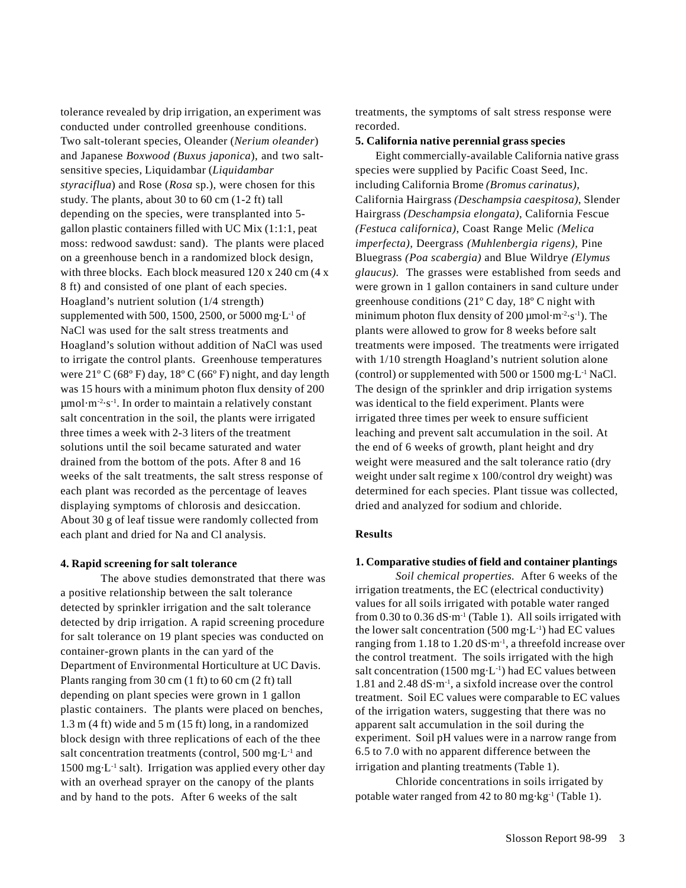tolerance revealed by drip irrigation, an experiment was conducted under controlled greenhouse conditions. Two salt-tolerant species, Oleander (*Nerium oleander*) and Japanese *Boxwood (Buxus japonica*), and two saltsensitive species, Liquidambar (*Liquidambar styraciflua*) and Rose (*Rosa* sp.), were chosen for this study. The plants, about 30 to 60 cm (1-2 ft) tall depending on the species, were transplanted into 5 gallon plastic containers filled with UC Mix (1:1:1, peat moss: redwood sawdust: sand). The plants were placed on a greenhouse bench in a randomized block design, with three blocks. Each block measured 120 x 240 cm (4 x 8 ft) and consisted of one plant of each species. Hoagland's nutrient solution (1/4 strength) supplemented with 500, 1500, 2500, or 5000 mg $\cdot$ L<sup>-1</sup> of NaCl was used for the salt stress treatments and Hoagland's solution without addition of NaCl was used to irrigate the control plants. Greenhouse temperatures were  $21^{\circ}$  C (68° F) day,  $18^{\circ}$  C (66° F) night, and day length was 15 hours with a minimum photon flux density of 200  $\mu$ mol·m<sup>-2</sup>·s<sup>-1</sup>. In order to maintain a relatively constant salt concentration in the soil, the plants were irrigated three times a week with 2-3 liters of the treatment solutions until the soil became saturated and water drained from the bottom of the pots. After 8 and 16 weeks of the salt treatments, the salt stress response of each plant was recorded as the percentage of leaves displaying symptoms of chlorosis and desiccation. About 30 g of leaf tissue were randomly collected from each plant and dried for Na and Cl analysis.

### **4. Rapid screening for salt tolerance**

The above studies demonstrated that there was a positive relationship between the salt tolerance detected by sprinkler irrigation and the salt tolerance detected by drip irrigation. A rapid screening procedure for salt tolerance on 19 plant species was conducted on container-grown plants in the can yard of the Department of Environmental Horticulture at UC Davis. Plants ranging from 30 cm (1 ft) to 60 cm (2 ft) tall depending on plant species were grown in 1 gallon plastic containers. The plants were placed on benches, 1.3 m (4 ft) wide and 5 m (15 ft) long, in a randomized block design with three replications of each of the thee salt concentration treatments (control, 500 mg·L<sup>-1</sup> and 1500 mg·L<sup>-1</sup> salt). Irrigation was applied every other day with an overhead sprayer on the canopy of the plants and by hand to the pots. After 6 weeks of the salt

treatments, the symptoms of salt stress response were recorded.

#### **5. California native perennial grass species**

Eight commercially-available California native grass species were supplied by Pacific Coast Seed, Inc. including California Brome *(Bromus carinatus)*, California Hairgrass *(Deschampsia caespitosa)*, Slender Hairgrass *(Deschampsia elongata)*, California Fescue *(Festuca californica)*, Coast Range Melic *(Melica imperfecta),* Deergrass *(Muhlenbergia rigens),* Pine Bluegrass *(Poa scabergia)* and Blue Wildrye *(Elymus glaucus).* The grasses were established from seeds and were grown in 1 gallon containers in sand culture under greenhouse conditions (21º C day, 18º C night with minimum photon flux density of 200  $\mu$ mol·m<sup>-2</sup>·s<sup>-1</sup>). The plants were allowed to grow for 8 weeks before salt treatments were imposed. The treatments were irrigated with  $1/10$  strength Hoagland's nutrient solution alone (control) or supplemented with 500 or  $1500$  mg·L<sup>-1</sup> NaCl. The design of the sprinkler and drip irrigation systems was identical to the field experiment. Plants were irrigated three times per week to ensure sufficient leaching and prevent salt accumulation in the soil. At the end of 6 weeks of growth, plant height and dry weight were measured and the salt tolerance ratio (dry weight under salt regime x 100/control dry weight) was determined for each species. Plant tissue was collected, dried and analyzed for sodium and chloride.

#### **Results**

### **1. Comparative studies of field and container plantings**

*Soil chemical properties.* After 6 weeks of the irrigation treatments, the EC (electrical conductivity) values for all soils irrigated with potable water ranged from  $0.30$  to  $0.36$  dS·m<sup>-1</sup> (Table 1). All soils irrigated with the lower salt concentration (500 mg $\cdot$ L<sup>-1</sup>) had EC values ranging from 1.18 to 1.20 dS·m-1, a threefold increase over the control treatment. The soils irrigated with the high salt concentration (1500 mg $\cdot$ L<sup>-1</sup>) had EC values between 1.81 and 2.48 dS·m-1, a sixfold increase over the control treatment. Soil EC values were comparable to EC values of the irrigation waters, suggesting that there was no apparent salt accumulation in the soil during the experiment. Soil pH values were in a narrow range from 6.5 to 7.0 with no apparent difference between the irrigation and planting treatments (Table 1).

Chloride concentrations in soils irrigated by potable water ranged from 42 to 80 mg·kg-1 (Table 1).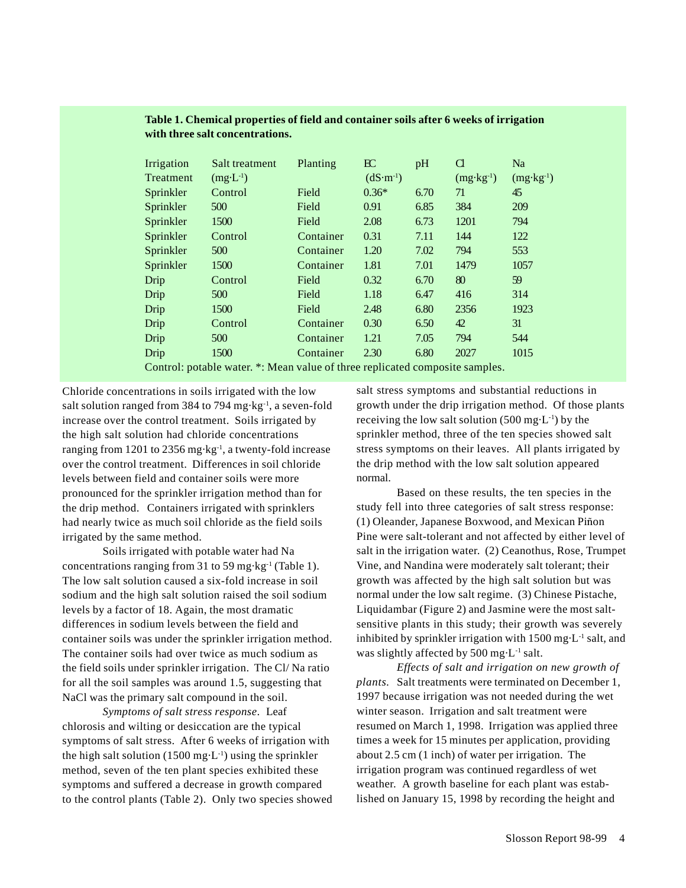| Irrigation                                                                   | Salt treatment      | Planting  | BC         | pH   | Cl                   | <b>Na</b>            |
|------------------------------------------------------------------------------|---------------------|-----------|------------|------|----------------------|----------------------|
| Treatment                                                                    | $(mg \cdot L^{-1})$ |           | $(dS·m-1)$ |      | $(mg \cdot kg^{-1})$ | $(mg \cdot kg^{-1})$ |
| Sprinkler                                                                    | Control             | Field     | $0.36*$    | 6.70 | 71                   | 45                   |
| Sprinkler                                                                    | 500                 | Field     | 0.91       | 6.85 | 384                  | 209                  |
| Sprinkler                                                                    | 1500                | Field     | 2.08       | 6.73 | 1201                 | 794                  |
| Sprinkler                                                                    | Control             | Container | 0.31       | 7.11 | 144                  | 122                  |
| Sprinkler                                                                    | 500                 | Container | 1.20       | 7.02 | 794                  | 553                  |
| Sprinkler                                                                    | 1500                | Container | 1.81       | 7.01 | 1479                 | 1057                 |
| Drip                                                                         | Control             | Field     | 0.32       | 6.70 | 80                   | 59                   |
| Drip                                                                         | 500                 | Field     | 1.18       | 6.47 | 416                  | 314                  |
| Drip                                                                         | 1500                | Field     | 2.48       | 6.80 | 2356                 | 1923                 |
| Drip                                                                         | Control             | Container | 0.30       | 6.50 | 42                   | 31                   |
| Drip                                                                         | 500                 | Container | 1.21       | 7.05 | 794                  | 544                  |
| Drip                                                                         | 1500                | Container | 2.30       | 6.80 | 2027                 | 1015                 |
| Control: potable water. *: Mean value of three replicated composite samples. |                     |           |            |      |                      |                      |

# **Table 1. Chemical properties of field and container soils after 6 weeks of irrigation with three salt concentrations.**

Chloride concentrations in soils irrigated with the low salt solution ranged from 384 to 794 mg·kg-1, a seven-fold increase over the control treatment. Soils irrigated by the high salt solution had chloride concentrations ranging from 1201 to 2356 mg·kg-1, a twenty-fold increase over the control treatment. Differences in soil chloride levels between field and container soils were more pronounced for the sprinkler irrigation method than for the drip method. Containers irrigated with sprinklers had nearly twice as much soil chloride as the field soils irrigated by the same method.

Soils irrigated with potable water had Na concentrations ranging from 31 to 59 mg·kg-1 (Table 1). The low salt solution caused a six-fold increase in soil sodium and the high salt solution raised the soil sodium levels by a factor of 18. Again, the most dramatic differences in sodium levels between the field and container soils was under the sprinkler irrigation method. The container soils had over twice as much sodium as the field soils under sprinkler irrigation. The Cl/ Na ratio for all the soil samples was around 1.5, suggesting that NaCl was the primary salt compound in the soil.

*Symptoms of salt stress response*. Leaf chlorosis and wilting or desiccation are the typical symptoms of salt stress. After 6 weeks of irrigation with the high salt solution  $(1500 \text{ mg} \cdot \text{L}^{-1})$  using the sprinkler method, seven of the ten plant species exhibited these symptoms and suffered a decrease in growth compared to the control plants (Table 2). Only two species showed salt stress symptoms and substantial reductions in growth under the drip irrigation method. Of those plants receiving the low salt solution  $(500 \text{ mg} \cdot \text{L}^{-1})$  by the sprinkler method, three of the ten species showed salt stress symptoms on their leaves. All plants irrigated by the drip method with the low salt solution appeared normal.

Based on these results, the ten species in the study fell into three categories of salt stress response: (1) Oleander, Japanese Boxwood, and Mexican Piñon Pine were salt-tolerant and not affected by either level of salt in the irrigation water. (2) Ceanothus, Rose, Trumpet Vine, and Nandina were moderately salt tolerant; their growth was affected by the high salt solution but was normal under the low salt regime. (3) Chinese Pistache, Liquidambar (Figure 2) and Jasmine were the most saltsensitive plants in this study; their growth was severely inhibited by sprinkler irrigation with  $1500$  mg $\cdot$ L<sup>-1</sup> salt, and was slightly affected by 500 mg·L<sup>-1</sup> salt.

*Effects of salt and irrigation on new growth of plants.* Salt treatments were terminated on December 1, 1997 because irrigation was not needed during the wet winter season. Irrigation and salt treatment were resumed on March 1, 1998. Irrigation was applied three times a week for 15 minutes per application, providing about 2.5 cm (1 inch) of water per irrigation. The irrigation program was continued regardless of wet weather. A growth baseline for each plant was established on January 15, 1998 by recording the height and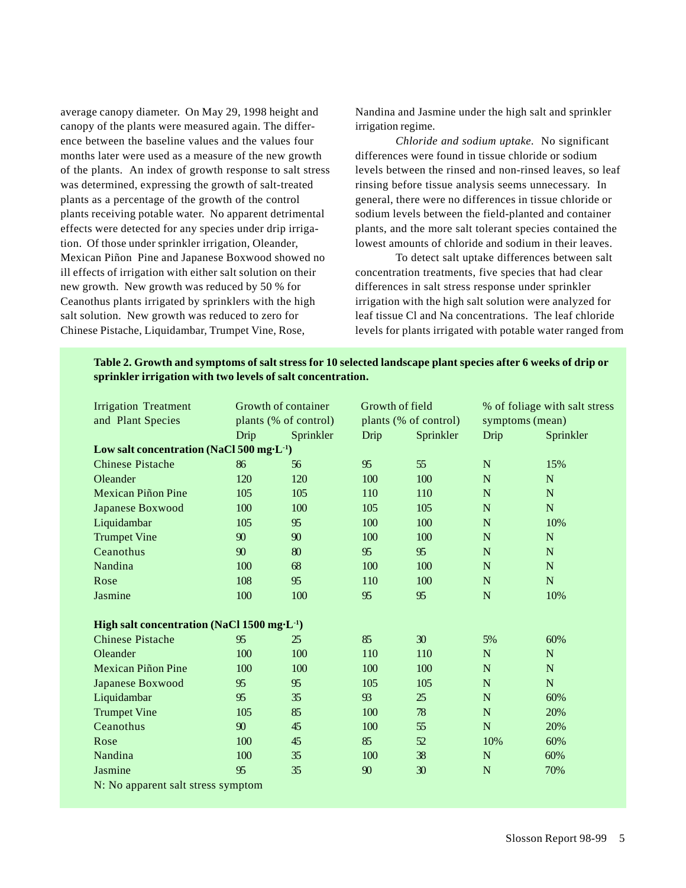average canopy diameter. On May 29, 1998 height and canopy of the plants were measured again. The difference between the baseline values and the values four months later were used as a measure of the new growth of the plants. An index of growth response to salt stress was determined, expressing the growth of salt-treated plants as a percentage of the growth of the control plants receiving potable water. No apparent detrimental effects were detected for any species under drip irrigation. Of those under sprinkler irrigation, Oleander, Mexican Piñon Pine and Japanese Boxwood showed no ill effects of irrigation with either salt solution on their new growth. New growth was reduced by 50 % for Ceanothus plants irrigated by sprinklers with the high salt solution. New growth was reduced to zero for Chinese Pistache, Liquidambar, Trumpet Vine, Rose,

Nandina and Jasmine under the high salt and sprinkler irrigation regime.

*Chloride and sodium uptake.* No significant differences were found in tissue chloride or sodium levels between the rinsed and non-rinsed leaves, so leaf rinsing before tissue analysis seems unnecessary. In general, there were no differences in tissue chloride or sodium levels between the field-planted and container plants, and the more salt tolerant species contained the lowest amounts of chloride and sodium in their leaves.

To detect salt uptake differences between salt concentration treatments, five species that had clear differences in salt stress response under sprinkler irrigation with the high salt solution were analyzed for leaf tissue Cl and Na concentrations. The leaf chloride levels for plants irrigated with potable water ranged from

| Table 2. Growth and symptoms of salt stress for 10 selected landscape plant species after 6 weeks of drip or |  |
|--------------------------------------------------------------------------------------------------------------|--|
| sprinkler irrigation with two levels of salt concentration.                                                  |  |

| Growth of container<br><b>Irrigation Treatment</b>        |                       | Growth of field |                       | % of foliage with salt stress |                 |             |
|-----------------------------------------------------------|-----------------------|-----------------|-----------------------|-------------------------------|-----------------|-------------|
| and Plant Species                                         | plants (% of control) |                 | plants (% of control) |                               | symptoms (mean) |             |
|                                                           | Drip                  | Sprinkler       | Drip                  | Sprinkler                     | Drip            | Sprinkler   |
| Low salt concentration (NaCl 500 mg·L <sup>-1</sup> )     |                       |                 |                       |                               |                 |             |
| <b>Chinese Pistache</b>                                   | 86                    | 56              | 95                    | 55                            | $\mathbf N$     | 15%         |
| Oleander                                                  | 120                   | 120             | 100                   | 100                           | N               | N           |
| <b>Mexican Piñon Pine</b>                                 | 105                   | 105             | 110                   | 110                           | $\mathbf N$     | $\mathbf N$ |
| <b>Japanese Boxwood</b>                                   | 100                   | 100             | 105                   | 105                           | $\mathbf N$     | $\mathbf N$ |
| Liquidambar                                               | 105                   | 95              | 100                   | 100                           | ${\bf N}$       | 10%         |
| <b>Trumpet Vine</b>                                       | 90                    | 90              | 100                   | 100                           | N               | $\mathbf N$ |
| Ceanothus                                                 | 90                    | 80              | 95                    | 95                            | ${\bf N}$       | ${\bf N}$   |
| Nandina                                                   | 100                   | 68              | 100                   | 100                           | $\mathbf N$     | $\mathbf N$ |
| Rose                                                      | 108                   | 95              | 110                   | 100                           | N               | $\mathbf N$ |
| Jasmine                                                   | 100                   | 100             | 95                    | 95                            | $\mathbf N$     | 10%         |
| High salt concentration (NaCl $1500$ mg·L <sup>-1</sup> ) |                       |                 |                       |                               |                 |             |
| <b>Chinese Pistache</b>                                   | 95                    | 25              | 85                    | 30                            | 5%              | 60%         |
| Oleander                                                  | 100                   | 100             | 110                   | 110                           | $\mathbf N$     | N           |
| <b>Mexican Piñon Pine</b>                                 | 100                   | 100             | 100                   | 100                           | $\mathbf N$     | $\mathbf N$ |
| Japanese Boxwood                                          | 95                    | 95              | 105                   | 105                           | $\mathbf N$     | $\mathbf N$ |
| Liquidambar                                               | 95                    | 35              | 93                    | 25                            | ${\bf N}$       | 60%         |
| <b>Trumpet Vine</b>                                       | 105                   | 85              | 100                   | 78                            | $\mathbf N$     | 20%         |
| Ceanothus                                                 | 90                    | 45              | 100                   | 55                            | N               | 20%         |
| Rose                                                      | 100                   | 45              | 85                    | 52                            | 10%             | 60%         |
| Nandina                                                   | 100                   | 35              | 100                   | 38                            | ${\bf N}$       | 60%         |
| Jasmine                                                   | 95                    | 35              | 90                    | 30                            | N               | 70%         |
| N: No apparent salt stress symptom                        |                       |                 |                       |                               |                 |             |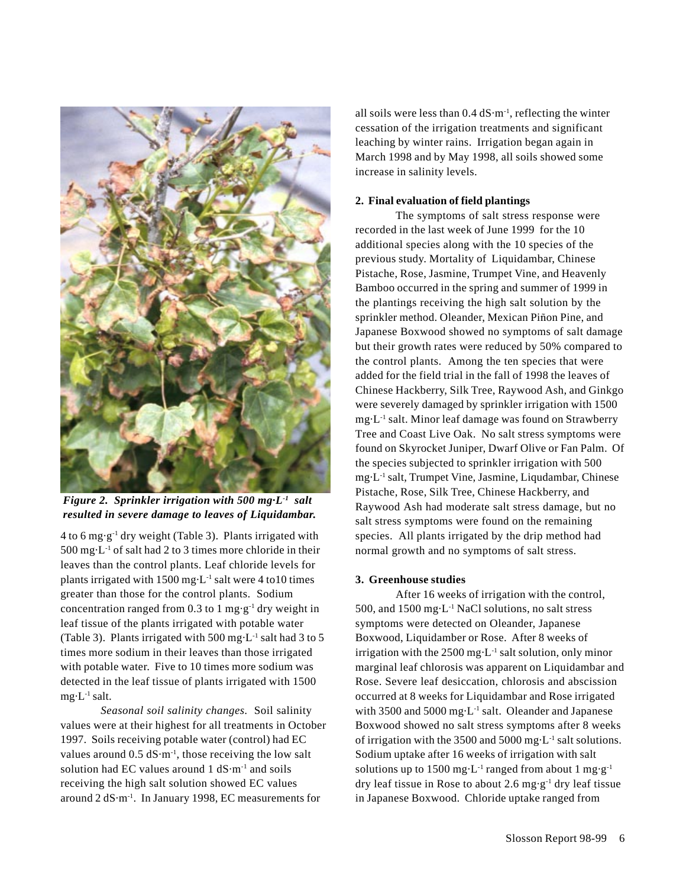

*Figure 2. Sprinkler irrigation with 500 mg·L-1 salt resulted in severe damage to leaves of Liquidambar.*

 $4$  to 6 mg·g<sup>-1</sup> dry weight (Table 3). Plants irrigated with  $500 \text{ mg} \cdot \text{L}^{-1}$  of salt had 2 to 3 times more chloride in their leaves than the control plants. Leaf chloride levels for plants irrigated with  $1500$  mg $\cdot$ L<sup>-1</sup> salt were 4 to 10 times greater than those for the control plants. Sodium concentration ranged from 0.3 to 1 mg·g<sup>-1</sup> dry weight in leaf tissue of the plants irrigated with potable water (Table 3). Plants irrigated with 500 mg $\cdot$ L<sup>1</sup> salt had 3 to 5 times more sodium in their leaves than those irrigated with potable water. Five to 10 times more sodium was detected in the leaf tissue of plants irrigated with 1500  $mg \cdot L^{-1}$  salt.

*Seasonal soil salinity changes.* Soil salinity values were at their highest for all treatments in October 1997. Soils receiving potable water (control) had EC values around  $0.5 \text{ dS·m}^{-1}$ , those receiving the low salt solution had EC values around  $1 dS·m<sup>-1</sup>$  and soils receiving the high salt solution showed EC values around 2 dS·m-1. In January 1998, EC measurements for

all soils were less than  $0.4 \text{ dS·m}^{-1}$ , reflecting the winter cessation of the irrigation treatments and significant leaching by winter rains. Irrigation began again in March 1998 and by May 1998, all soils showed some increase in salinity levels.

### **2. Final evaluation of field plantings**

The symptoms of salt stress response were recorded in the last week of June 1999 for the 10 additional species along with the 10 species of the previous study. Mortality of Liquidambar, Chinese Pistache, Rose, Jasmine, Trumpet Vine, and Heavenly Bamboo occurred in the spring and summer of 1999 in the plantings receiving the high salt solution by the sprinkler method. Oleander, Mexican Piñon Pine, and Japanese Boxwood showed no symptoms of salt damage but their growth rates were reduced by 50% compared to the control plants. Among the ten species that were added for the field trial in the fall of 1998 the leaves of Chinese Hackberry, Silk Tree, Raywood Ash, and Ginkgo were severely damaged by sprinkler irrigation with 1500 mg·L-1 salt. Minor leaf damage was found on Strawberry Tree and Coast Live Oak. No salt stress symptoms were found on Skyrocket Juniper, Dwarf Olive or Fan Palm. Of the species subjected to sprinkler irrigation with 500 mg·L-1 salt, Trumpet Vine, Jasmine, Liqudambar, Chinese Pistache, Rose, Silk Tree, Chinese Hackberry, and Raywood Ash had moderate salt stress damage, but no salt stress symptoms were found on the remaining species. All plants irrigated by the drip method had normal growth and no symptoms of salt stress.

## **3. Greenhouse studies**

After 16 weeks of irrigation with the control, 500, and 1500 mg·L-1 NaCl solutions, no salt stress symptoms were detected on Oleander, Japanese Boxwood, Liquidamber or Rose. After 8 weeks of irrigation with the  $2500 \text{ mg} \cdot L^{-1}$  salt solution, only minor marginal leaf chlorosis was apparent on Liquidambar and Rose. Severe leaf desiccation, chlorosis and abscission occurred at 8 weeks for Liquidambar and Rose irrigated with 3500 and 5000 mg·L<sup>-1</sup> salt. Oleander and Japanese Boxwood showed no salt stress symptoms after 8 weeks of irrigation with the 3500 and 5000 mg·L-1 salt solutions. Sodium uptake after 16 weeks of irrigation with salt solutions up to 1500 mg $\cdot L^{-1}$  ranged from about 1 mg $\cdot g^{-1}$ dry leaf tissue in Rose to about 2.6 mg·g-1 dry leaf tissue in Japanese Boxwood. Chloride uptake ranged from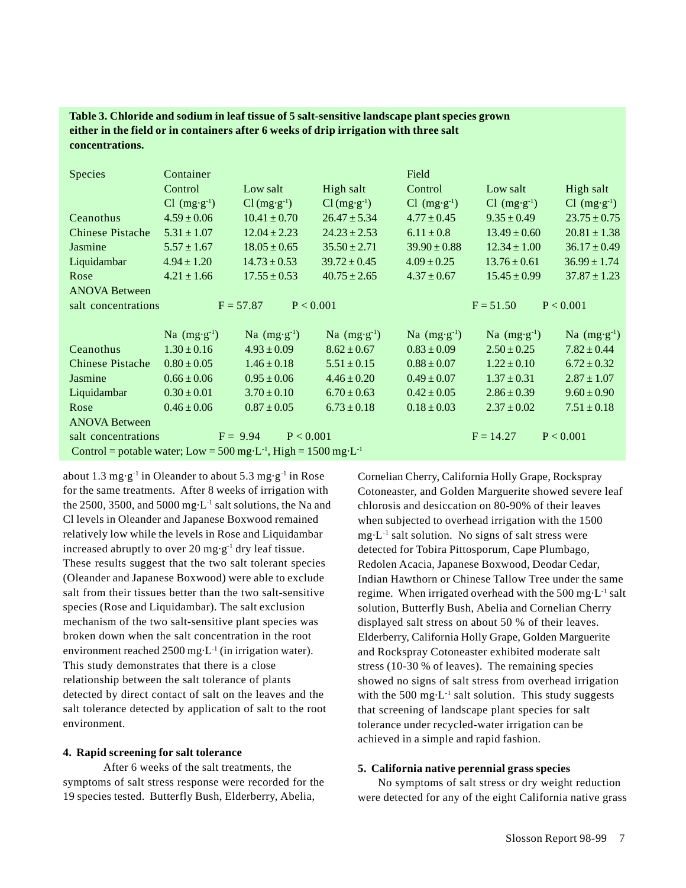# **Table 3. Chloride and sodium in leaf tissue of 5 salt-sensitive landscape plant species grown either in the field or in containers after 6 weeks of drip irrigation with three salt concentrations.**

| <b>Species</b>          | Container                  |                          |                        | Field                      |                            |                            |
|-------------------------|----------------------------|--------------------------|------------------------|----------------------------|----------------------------|----------------------------|
|                         | Control                    | Low salt                 | High salt              | Control                    | Low salt                   | High salt                  |
|                         | $Cl$ (mg·g <sup>-1</sup> ) | $Cl(mg·g-1)$             | $Cl(mg·g-1)$           | $Cl$ (mg·g <sup>-1</sup> ) | $Cl$ (mg·g <sup>-1</sup> ) | $Cl$ (mg·g <sup>-1</sup> ) |
| Ceanothus               | $4.59 \pm 0.06$            | $10.41 \pm 0.70$         | $26.47 \pm 5.34$       | $4.77 \pm 0.45$            | $9.35 \pm 0.49$            | $23.75 \pm 0.75$           |
| <b>Chinese Pistache</b> | $5.31 \pm 1.07$            | $12.04 \pm 2.23$         | $24.23 \pm 2.53$       | $6.11 \pm 0.8$             | $13.49 \pm 0.60$           | $20.81 \pm 1.38$           |
| Jasmine                 | $5.57 \pm 1.67$            | $18.05 \pm 0.65$         | $35.50 \pm 2.71$       | $39.90 \pm 0.88$           | $12.34 \pm 1.00$           | $36.17 \pm 0.49$           |
| Liquidambar             | $4.94 \pm 1.20$            | $14.73 \pm 0.53$         | $39.72 \pm 0.45$       | $4.09 \pm 0.25$            | $13.76 \pm 0.61$           | $36.99 \pm 1.74$           |
| Rose                    | $4.21 \pm 1.66$            | $17.55 \pm 0.53$         | $40.75 \pm 2.65$       | $4.37 \pm 0.67$            | $15.45 \pm 0.99$           | $37.87 \pm 1.23$           |
| <b>ANOVA Between</b>    |                            |                          |                        |                            |                            |                            |
| salt concentrations     |                            | $F = 57.87$<br>P < 0.001 |                        |                            | $F = 51.50$                | P < 0.001                  |
|                         |                            |                          |                        |                            |                            |                            |
|                         | Na $(mg \cdot g^{-1})$     | Na $(mg \cdot g^{-1})$   | Na $(mg \cdot g^{-1})$ | Na $(mg \cdot g^{-1})$     | Na $(mg \cdot g^{-1})$     | Na $(mg·g-1)$              |
| Ceanothus               | $1.30 \pm 0.16$            | $4.93 \pm 0.09$          | $8.62 \pm 0.67$        | $0.83 \pm 0.09$            | $2.50 \pm 0.25$            | $7.82 \pm 0.44$            |
| <b>Chinese Pistache</b> | $0.80 \pm 0.05$            | $1.46 \pm 0.18$          | $5.51 \pm 0.15$        | $0.88 \pm 0.07$            | $1.22 \pm 0.10$            | $6.72 \pm 0.32$            |
| Jasmine                 | $0.66 \pm 0.06$            | $0.95 \pm 0.06$          | $4.46 \pm 0.20$        | $0.49 \pm 0.07$            | $1.37 \pm 0.31$            | $2.87 \pm 1.07$            |
| Liquidambar             | $0.30 \pm 0.01$            | $3.70 \pm 0.10$          | $6.70 \pm 0.63$        | $0.42 \pm 0.05$            | $2.86 \pm 0.39$            | $9.60 \pm 0.90$            |
| Rose                    |                            |                          |                        |                            |                            |                            |
|                         | $0.46 \pm 0.06$            | $0.87 \pm 0.05$          | $6.73 \pm 0.18$        | $0.18 \pm 0.03$            | $2.37 \pm 0.02$            | $7.51 \pm 0.18$            |
| <b>ANOVA Between</b>    |                            |                          |                        |                            |                            |                            |
| salt concentrations     |                            | $F = 9.94$<br>P < 0.001  |                        |                            | $F = 14.27$                | P < 0.001                  |

about 1.3 mg·g<sup>-1</sup> in Oleander to about 5.3 mg·g<sup>-1</sup> in Rose for the same treatments. After 8 weeks of irrigation with the 2500, 3500, and 5000 mg·L-1 salt solutions, the Na and Cl levels in Oleander and Japanese Boxwood remained relatively low while the levels in Rose and Liquidambar increased abruptly to over 20 mg·g<sup>-1</sup> dry leaf tissue. These results suggest that the two salt tolerant species (Oleander and Japanese Boxwood) were able to exclude salt from their tissues better than the two salt-sensitive species (Rose and Liquidambar). The salt exclusion mechanism of the two salt-sensitive plant species was broken down when the salt concentration in the root environment reached  $2500 \text{ mg} \cdot L^{-1}$  (in irrigation water). This study demonstrates that there is a close relationship between the salt tolerance of plants detected by direct contact of salt on the leaves and the salt tolerance detected by application of salt to the root environment.

### **4. Rapid screening for salt tolerance**

After 6 weeks of the salt treatments, the symptoms of salt stress response were recorded for the 19 species tested. Butterfly Bush, Elderberry, Abelia,

Cornelian Cherry, California Holly Grape, Rockspray Cotoneaster, and Golden Marguerite showed severe leaf chlorosis and desiccation on 80-90% of their leaves when subjected to overhead irrigation with the 1500  $mg \cdot L^{-1}$  salt solution. No signs of salt stress were detected for Tobira Pittosporum, Cape Plumbago, Redolen Acacia, Japanese Boxwood, Deodar Cedar, Indian Hawthorn or Chinese Tallow Tree under the same regime. When irrigated overhead with the 500 mg·L-1 salt solution, Butterfly Bush, Abelia and Cornelian Cherry displayed salt stress on about 50 % of their leaves. Elderberry, California Holly Grape, Golden Marguerite and Rockspray Cotoneaster exhibited moderate salt stress (10-30 % of leaves). The remaining species showed no signs of salt stress from overhead irrigation with the 500 mg $\cdot$ L<sup>-1</sup> salt solution. This study suggests that screening of landscape plant species for salt tolerance under recycled-water irrigation can be achieved in a simple and rapid fashion.

### **5. California native perennial grass species**

No symptoms of salt stress or dry weight reduction were detected for any of the eight California native grass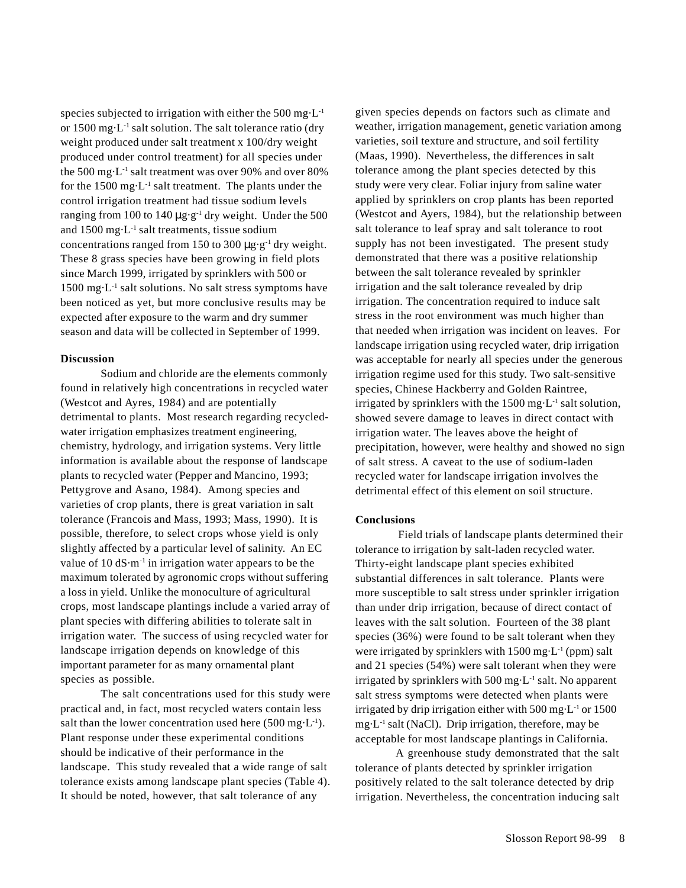species subjected to irrigation with either the 500 mg $\cdot L^{-1}$ or 1500 mg·L<sup>-1</sup> salt solution. The salt tolerance ratio (dry weight produced under salt treatment x 100/dry weight produced under control treatment) for all species under the 500 mg·L-1 salt treatment was over 90% and over 80% for the  $1500 \text{ mg} \cdot L^{-1}$  salt treatment. The plants under the control irrigation treatment had tissue sodium levels ranging from 100 to 140  $\mu$ g·g<sup>-1</sup> dry weight. Under the 500 and 1500 mg·L-1 salt treatments, tissue sodium concentrations ranged from 150 to 300  $\mu$ g·g<sup>-1</sup> dry weight. These 8 grass species have been growing in field plots since March 1999, irrigated by sprinklers with 500 or  $1500 \text{ mg} \cdot \text{L}^{-1}$  salt solutions. No salt stress symptoms have been noticed as yet, but more conclusive results may be expected after exposure to the warm and dry summer season and data will be collected in September of 1999.

## **Discussion**

Sodium and chloride are the elements commonly found in relatively high concentrations in recycled water (Westcot and Ayres, 1984) and are potentially detrimental to plants. Most research regarding recycledwater irrigation emphasizes treatment engineering, chemistry, hydrology, and irrigation systems. Very little information is available about the response of landscape plants to recycled water (Pepper and Mancino, 1993; Pettygrove and Asano, 1984). Among species and varieties of crop plants, there is great variation in salt tolerance (Francois and Mass, 1993; Mass, 1990). It is possible, therefore, to select crops whose yield is only slightly affected by a particular level of salinity. An EC value of 10  $dS·m<sup>-1</sup>$  in irrigation water appears to be the maximum tolerated by agronomic crops without suffering a loss in yield. Unlike the monoculture of agricultural crops, most landscape plantings include a varied array of plant species with differing abilities to tolerate salt in irrigation water. The success of using recycled water for landscape irrigation depends on knowledge of this important parameter for as many ornamental plant species as possible.

The salt concentrations used for this study were practical and, in fact, most recycled waters contain less salt than the lower concentration used here  $(500 \text{ mg} \cdot \text{L}^{-1})$ . Plant response under these experimental conditions should be indicative of their performance in the landscape. This study revealed that a wide range of salt tolerance exists among landscape plant species (Table 4). It should be noted, however, that salt tolerance of any

given species depends on factors such as climate and weather, irrigation management, genetic variation among varieties, soil texture and structure, and soil fertility (Maas, 1990). Nevertheless, the differences in salt tolerance among the plant species detected by this study were very clear. Foliar injury from saline water applied by sprinklers on crop plants has been reported (Westcot and Ayers, 1984), but the relationship between salt tolerance to leaf spray and salt tolerance to root supply has not been investigated. The present study demonstrated that there was a positive relationship between the salt tolerance revealed by sprinkler irrigation and the salt tolerance revealed by drip irrigation. The concentration required to induce salt stress in the root environment was much higher than that needed when irrigation was incident on leaves. For landscape irrigation using recycled water, drip irrigation was acceptable for nearly all species under the generous irrigation regime used for this study. Two salt-sensitive species, Chinese Hackberry and Golden Raintree, irrigated by sprinklers with the  $1500$  mg $\cdot$ L<sup>-1</sup> salt solution, showed severe damage to leaves in direct contact with irrigation water. The leaves above the height of precipitation, however, were healthy and showed no sign of salt stress. A caveat to the use of sodium-laden recycled water for landscape irrigation involves the detrimental effect of this element on soil structure.

#### **Conclusions**

 Field trials of landscape plants determined their tolerance to irrigation by salt-laden recycled water. Thirty-eight landscape plant species exhibited substantial differences in salt tolerance. Plants were more susceptible to salt stress under sprinkler irrigation than under drip irrigation, because of direct contact of leaves with the salt solution. Fourteen of the 38 plant species (36%) were found to be salt tolerant when they were irrigated by sprinklers with  $1500 \text{ mg} \cdot L^{-1}$  (ppm) salt and 21 species (54%) were salt tolerant when they were irrigated by sprinklers with 500 mg·L-1 salt. No apparent salt stress symptoms were detected when plants were irrigated by drip irrigation either with 500 mg·L-1 or 1500 mg $\cdot$ L<sup>-1</sup> salt (NaCl). Drip irrigation, therefore, may be acceptable for most landscape plantings in California.

A greenhouse study demonstrated that the salt tolerance of plants detected by sprinkler irrigation positively related to the salt tolerance detected by drip irrigation. Nevertheless, the concentration inducing salt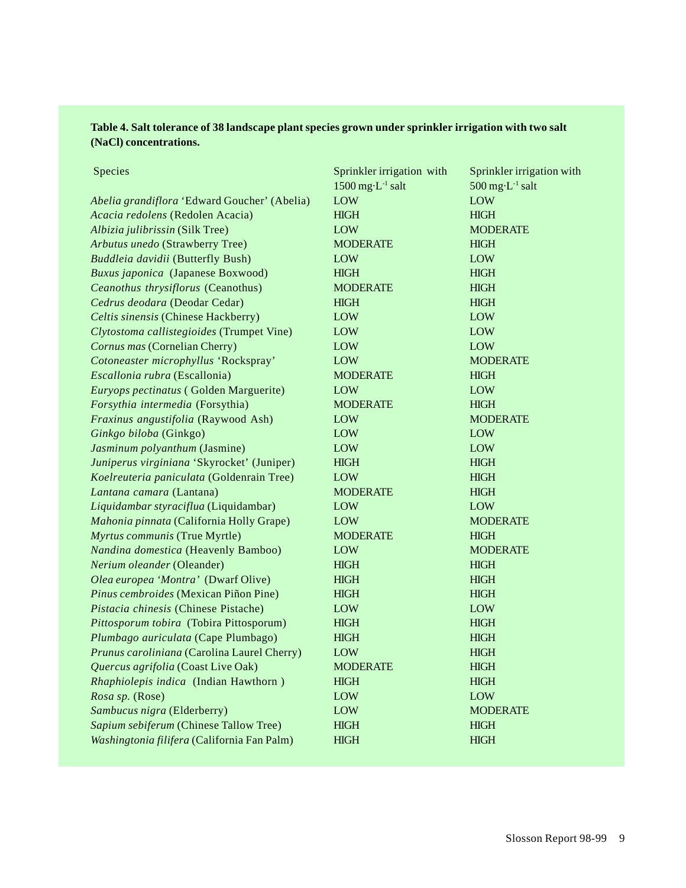# **Table 4. Salt tolerance of 38 landscape plant species grown under sprinkler irrigation with two salt (NaCl) concentrations.**

Species Species Sprinkler irrigation with Sprinkler irrigation with Sprinkler irrigation with Sprinkler in the Sprinkler in the Sprinkler in the Sprinkler in the Sprinkler in the Sprinkler in the Sprinkler in the Sprinkler

|                                              | $1500$ mg·L <sup>-1</sup> salt | $500$ mg·L <sup>-1</sup> salt |
|----------------------------------------------|--------------------------------|-------------------------------|
| Abelia grandiflora 'Edward Goucher' (Abelia) | LOW                            | LOW                           |
| Acacia redolens (Redolen Acacia)             | <b>HIGH</b>                    | HIGH                          |
| Albizia julibrissin (Silk Tree)              | <b>LOW</b>                     | <b>MODERATE</b>               |
| Arbutus unedo (Strawberry Tree)              | <b>MODERATE</b>                | <b>HIGH</b>                   |
| Buddleia davidii (Butterfly Bush)            | LOW                            | LOW                           |
| Buxus japonica (Japanese Boxwood)            | <b>HIGH</b>                    | <b>HIGH</b>                   |
| Ceanothus thrysiflorus (Ceanothus)           | <b>MODERATE</b>                | <b>HIGH</b>                   |
| Cedrus deodara (Deodar Cedar)                | <b>HIGH</b>                    | HIGH                          |
| Celtis sinensis (Chinese Hackberry)          | LOW                            | LOW                           |
| Clytostoma callistegioides (Trumpet Vine)    | LOW                            | LOW                           |
| Cornus mas (Cornelian Cherry)                | LOW                            | LOW                           |
| Cotoneaster microphyllus 'Rockspray'         | <b>LOW</b>                     | <b>MODERATE</b>               |
| Escallonia rubra (Escallonia)                | <b>MODERATE</b>                | <b>HIGH</b>                   |
| Euryops pectinatus (Golden Marguerite)       | LOW                            | LOW                           |
| Forsythia intermedia (Forsythia)             | <b>MODERATE</b>                | <b>HIGH</b>                   |
| Fraxinus angustifolia (Raywood Ash)          | <b>LOW</b>                     | <b>MODERATE</b>               |
| Ginkgo biloba (Ginkgo)                       | <b>LOW</b>                     | <b>LOW</b>                    |
| Jasminum polyanthum (Jasmine)                | LOW                            | LOW                           |
| Juniperus virginiana 'Skyrocket' (Juniper)   | <b>HIGH</b>                    | HIGH                          |
| Koelreuteria paniculata (Goldenrain Tree)    | <b>LOW</b>                     | <b>HIGH</b>                   |
| Lantana camara (Lantana)                     | <b>MODERATE</b>                | <b>HIGH</b>                   |
| Liquidambar styraciflua (Liquidambar)        | LOW                            | LOW                           |
| Mahonia pinnata (California Holly Grape)     | LOW                            | <b>MODERATE</b>               |
| Myrtus communis (True Myrtle)                | <b>MODERATE</b>                | <b>HIGH</b>                   |
| Nandina domestica (Heavenly Bamboo)          | LOW                            | <b>MODERATE</b>               |
| Nerium oleander (Oleander)                   | <b>HIGH</b>                    | <b>HIGH</b>                   |
| Olea europea 'Montra' (Dwarf Olive)          | HIGH                           | HIGH                          |
| Pinus cembroides (Mexican Piñon Pine)        | <b>HIGH</b>                    | <b>HIGH</b>                   |
| Pistacia chinesis (Chinese Pistache)         | <b>LOW</b>                     | <b>LOW</b>                    |
| Pittosporum tobira (Tobira Pittosporum)      | HIGH                           | HIGH                          |
| Plumbago auriculata (Cape Plumbago)          | <b>HIGH</b>                    | HIGH                          |
| Prunus caroliniana (Carolina Laurel Cherry)  | LOW                            | <b>HIGH</b>                   |
| Quercus agrifolia (Coast Live Oak)           | <b>MODERATE</b>                | <b>HIGH</b>                   |
| Rhaphiolepis indica (Indian Hawthorn)        | <b>HIGH</b>                    | <b>HIGH</b>                   |
| Rosa sp. (Rose)                              | LOW                            | LOW                           |
| Sambucus nigra (Elderberry)                  | LOW                            | <b>MODERATE</b>               |
| Sapium sebiferum (Chinese Tallow Tree)       | <b>HIGH</b>                    | <b>HIGH</b>                   |
| Washingtonia filifera (California Fan Palm)  | HIGH                           | HIGH                          |
|                                              |                                |                               |